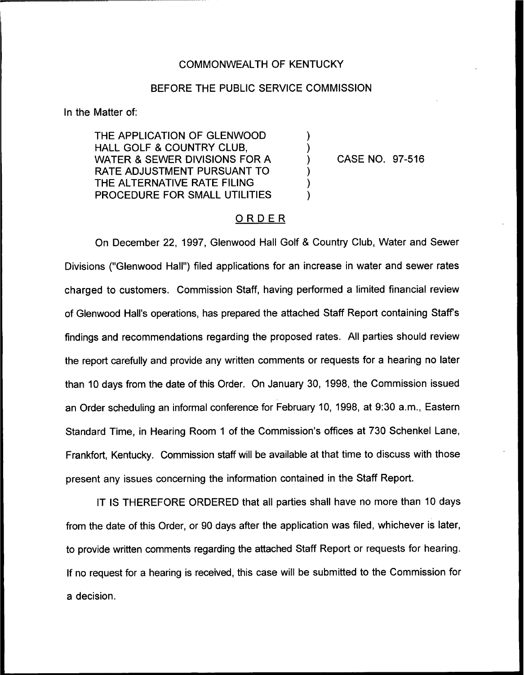### COMMONWEALTH OF KENTUCKY

## BEFORE THE PUBLIC SERVICE COMMISSION

⟩

In the Matter of:

THE APPLICATION OF GLENWOOD HALL GOLF 8, COUNTRY CLUB, WATER & SEWER DIVISIONS FOR A RATE ADJUSTMENT PURSUANT TO THE ALTERNATIVE RATE FILING PROCEDURE FOR SMALL UTILITIES

CASE NO. 97-516

# ORDER

On December 22, 1997, Glenwood Hall Golf & Country Club, Water and Sewer Divisions ("Glenwood Hall") filed applications for an increase in water and sewer rates charged to customers. Commission Staff, having performed a limited financial review of Glenwood Hall's operations, has prepared the attached Staff Report containing Staff's findings and recommendations regarding the proposed rates. All parties should review the report carefully and provide any written comments or requests for a hearing no later than 10 days from the date of this Order. On January 30, 1998, the Commission issued an Order scheduling an informal conference for February 10, 1998, at 9:30 a.m., Eastern Standard Time, in Hearing Room <sup>1</sup> of the Commission's offices at 730 Schenkel Lane, Frankfort, Kentucky. Commission staff will be available at that time to discuss with those present any issues concerning the information contained in the Staff Report.

IT IS THEREFORE ORDERED that all parties shall have no more than 10 days from the date of this Order, or 90 days after the application was filed, whichever is later, to provide written comments regarding the attached Staff Report or requests for hearing. If no request for a hearing is received, this case will be submitted to the Commission for a decision.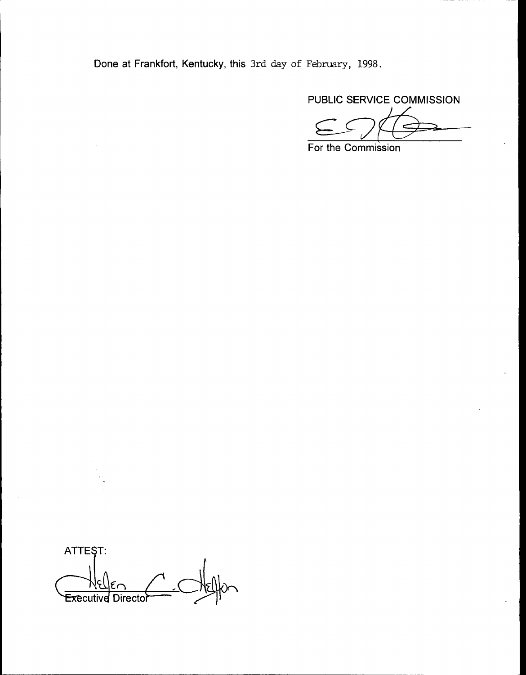Done at Frankfort, Kentucky, this 3rd day of February, 1998.

PUBLIC SERVICE COMMISSION

For the Commission

ATTEST: Executive Directo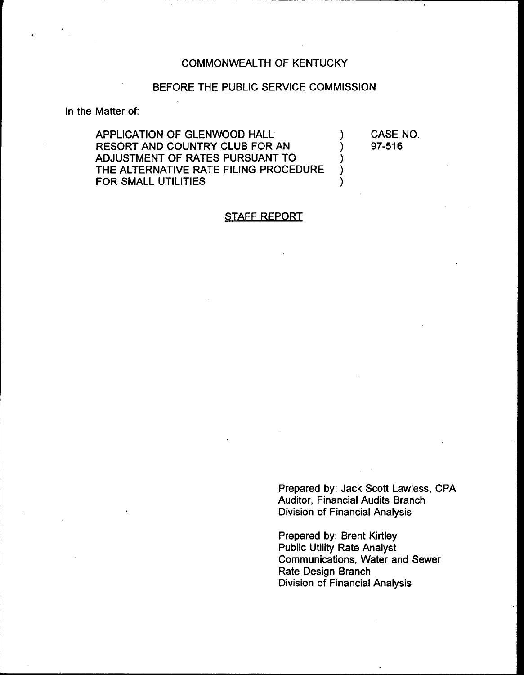# COMMONWEALTH OF KENTUCKY

# BEFORE THE PUBLIC SERVICE COMMISSION

In the Matter of:

APPLICATION OF GLENWOOD HALL (1) RESORT AND COUNTRY CLUB FOR AN ADJUSTMENT OF RATES PURSUANT TO  $($   $)$ <br>
THE ALTERNATIVE RATE FILING PROCEDURE THE ALTERNATIVE RATE FILING PROCEDURE )<br>FOR SMALL UTILITIES FOR SMALL UTILITIES

CASE NO. 97-516

## STAFF REPORT

Prepared by: Jack Scott Lawless, CPA Auditor, Financial Audits Branch Division of Financial Analysis

Prepared by: Brent Kirtley Public Utility Rate Analyst Communications, Water and Sewer Rate Design Branch Division of Financial Analysis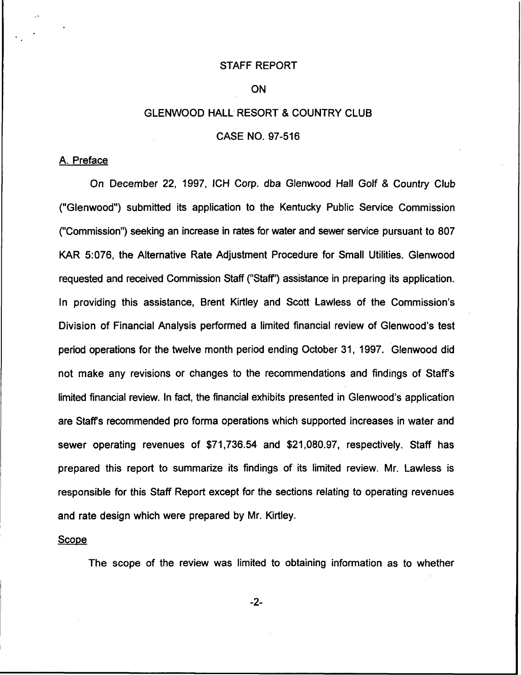#### STAFF REPORT

### ON

# GLENWOOD HALL RESORT & COUNTRY CLUB

# CASE NO. 97-516

#### A. Preface

On December 22, 1997, ICH Corp. dba Glenwood Hall Golf & Country Club ("Glenwood") submitted its application to the Kentucky Public Service Commissic ("Commission") seeking an increase in rates for water and sewer service pursuant to 807 KAR 5:076, the Alternative Rate Adjustment Procedure for Small Utilities. Glenwood requested and received Commission Staff ("Staff") assistance in preparing its application. In providing this assistance, Brent Kirtley and Scott Lawless of the Commission's Division of Financial Analysis performed a limited financial review of Glenwood's test period operations for the twelve month period ending October 31, 1997. Glenwood did not make any revisions or changes to the recommendations and findings of Staff's limited financial review. In fact, the financial exhibits presented in Glenwood's application are Staff's recommended pro forma operations which supported increases in water and sewer operating revenues of \$71,736.54 and \$21,080.97, respectively. Staff has prepared this report to summarize its findings of its limited review. Mr. Lawless is responsible for this Staff Report except for the sections relating to operating revenues and rate design which were prepared by Mr. Kirtley.

### Scope

The scope of the review was limited to obtaining information as to whether

-2-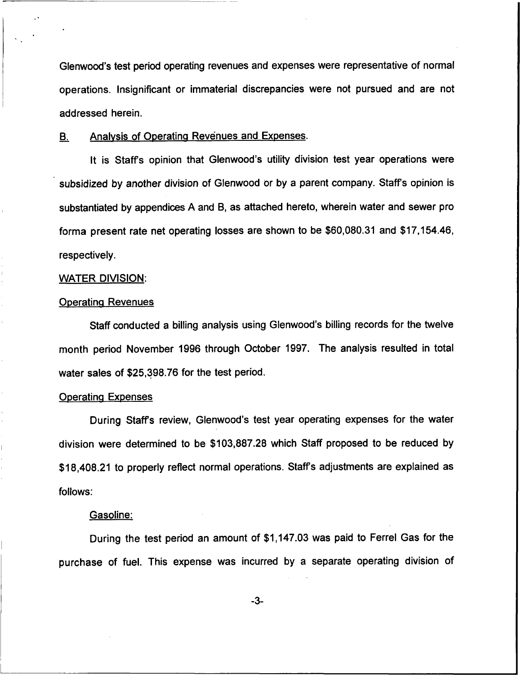Glenwood's test period operating revenues and expenses were representative of normal operations. Insignificant or immaterial discrepancies were not pursued and are not addressed herein.

## B. Analvsis of Ooeratina Revenues and Expenses.

It is Staffs opinion that Glenwood's utility division test year operations were subsidized by another division of Glenwood or by a parent company. Staffs opinion is substantiated by appendices A and B, as attached hereto, wherein water and sewer pro forma present rate net operating losses are shown to be \$60,080.31 and \$17,154.46, respectively.

#### WATER DIVISION:

#### **Operating Revenues**

Staff conducted a billing analysis using Glenwood's billing records for the twelve month period November 1996 through October 1997. The analysis resulted in total water sales of \$25,398.76 for the test period.

### **Operating Expenses**

During Staff's review, Glenwood's test year operating expenses for the water division were determined to be \$103,887.28 which Staff proposed to be reduced by \$18,408.21 to properly reflect normal operations. Staff's adjustments are explained as follows:

### Gasoline:

During the test period an amount of \$1,147.03was paid to Ferrel Gas for the purchase of fuel. This expense was incurred by a separate operating division of

-3-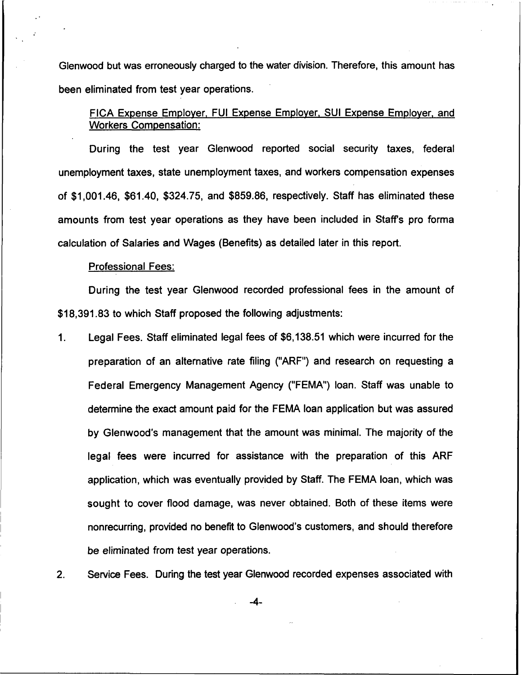Glenwood but was erroneously charged to the water division. Therefore, this amount has been eliminated from test year operations.

FICA Expense Employer, FUI Expense Employer, SUI Expense Employer, and Workers Compensation:

During the test year Glenwood reported social security taxes, federal unemployment taxes, state unemployment taxes, and workers compensation expenses of \$1,001.46, \$61.40, \$324.75, and \$859.86, respectively. Staff has eliminated these amounts from test year operations as they have been included in Staff's pro forma calculation of Salaries and Wages (Benefits) as detailed later in this report.

#### Professional Fees:

During the test year Glenwood recorded professional fees in the amount of \$18,391.83 to which Staff proposed the following adjustments:

Legal Fees. Staff eliminated legal fees of \$6,138.51 which were incurred for the 1. preparation of an alternative rate filing ("ARF") and research on requesting a Federal Emergency Management Agency ("FEMA") loan. Staff was unable to determine the exact amount paid for the FEMA loan application but was assured by Glenwood's management that the amount was minimal. The majority of the legal fees were incurred for assistance with the preparation of this ARF application, which was eventually provided by Staff. The FEMA loan, which was sought to cover flood damage, was never obtained. Both of these items were nonrecurring, provided no benefit to Glenwood's customers, and should therefore be eliminated from test year operations.

Service Fees. During the test year Glenwood recorded expenses associated with $2<sup>1</sup>$ 

 $-4-$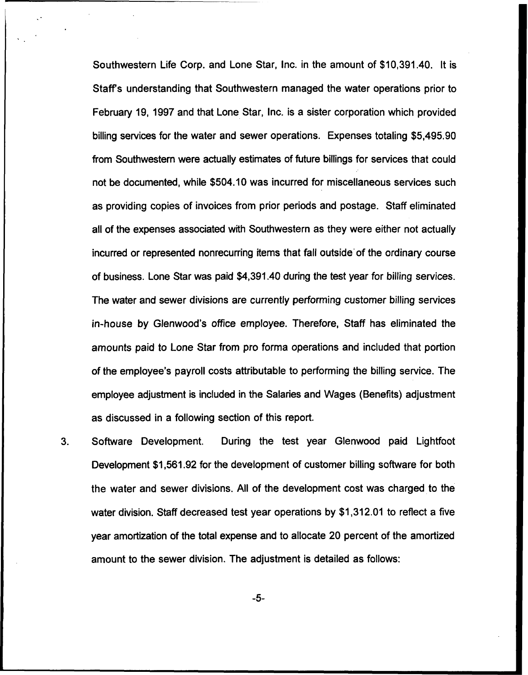Southwestern Life Corp. and Lone Star, Inc. in the amount of \$10,391.40. It is Staff's understanding that Southwestern managed the water operations prior to February 19, 1997 and that Lone Star, Inc. is a sister corporation which provided billing services for the water and sewer operations. Expenses totaling \$5,495.90 from Southwestern were actually estimates of future billings for services that could not be documented, while \$504.10 was incurred for miscellaneous services such as providing copies of invoices from prior periods and postage. Staff eliminated all of the expenses associated with Southwestern as they were either not actually incurred or represented nonrecurring items that fall outside'of the ordinary course of business. Lone Star was paid \$4,391.40 during the test year for billing services. The water and sewer divisions are currently performing customer billing services in-house by Glenwood's office employee. Therefore, Staff has eliminated the amounts paid to Lone Star from pro forma operations and included that portion of the employee's payroll costs attributable to performing the billing service. The employee adjustment is included in the Salaries and Wages (Benefits) adjustment as discussed in a following section of this report.

 $3.$ Software Development. During the test year Glenwood paid Lightfoot Development \$1,561.92 for the development of customer billing software for both the water and sewer divisions. AII of the development cost was charged to the water division. Staff decreased test year operations by \$1,312.01 to reflect a five year amortization of the total expense and to allocate 20 percent of the amortized amount to the sewer division. The adjustment is detailed as follows:

-5-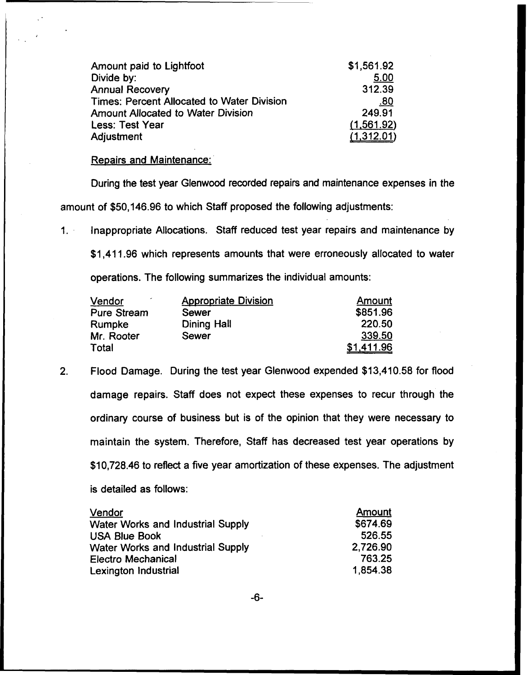| Amount paid to Lightfoot                   | \$1,561.92 |
|--------------------------------------------|------------|
| Divide by:                                 | 5.00       |
| <b>Annual Recovery</b>                     | 312.39     |
| Times: Percent Allocated to Water Division | .80        |
| <b>Amount Allocated to Water Division</b>  | 249.91     |
| <b>Less: Test Year</b>                     | (1,561.92) |
| Adjustment                                 | (1,312.01) |

# Repairs and Maintenance:

During the test year Glenwood recorded repairs and maintenance expenses in the amount of \$50,146.96 to which Staff proposed the following adjustments:

Inappropriate Allocations. Staff reduced test year repairs and maintenance by  $1.$ 

\$1,411.96 which represents amounts that were erroneously allocated to water operations. The following summarizes the individual amounts:

| <u>Vendor</u>      | <b>Appropriate Division</b> | Amount     |
|--------------------|-----------------------------|------------|
| <b>Pure Stream</b> | Sewer                       | \$851.96   |
| Rumpke             | Dining Hall                 | 220.50     |
| Mr. Rooter         | Sewer                       | 339.50     |
| Total              |                             | \$1,411.96 |

2. Flood Damage. During the test year Glenwood expended \$13,410.58 for flood damage repairs. Staff does not expect these expenses to recur through the ordinary course of business but is of the opinion that they were necessary to maintain the system. Therefore, Staff has decreased test year operations by \$10,728.46 to reflect a five year amortization of these expenses. The adjustment is detailed as follows:

| Vendor                                   | Amount   |
|------------------------------------------|----------|
| <b>Water Works and Industrial Supply</b> | \$674.69 |
| <b>USA Blue Book</b>                     | 526.55   |
| <b>Water Works and Industrial Supply</b> | 2,726.90 |
| <b>Electro Mechanical</b>                | 763.25   |
| Lexington Industrial                     | 1,854.38 |

-6-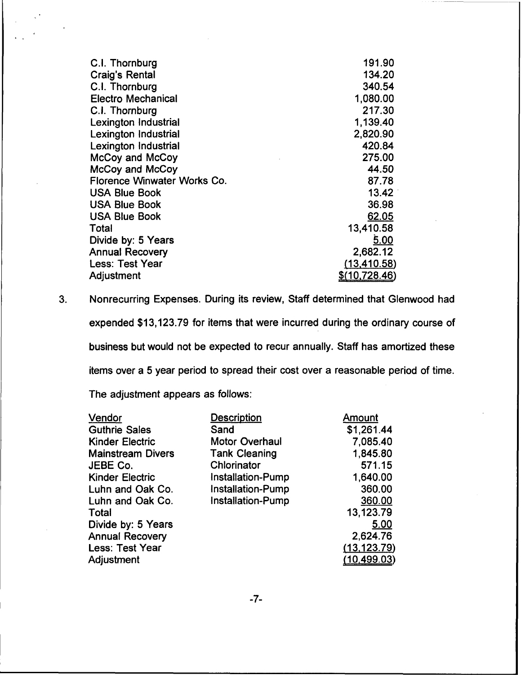| C.I. Thornburg              | 191.90         |
|-----------------------------|----------------|
| <b>Craig's Rental</b>       | 134.20         |
| C.I. Thornburg              | 340.54         |
| <b>Electro Mechanical</b>   | 1,080.00       |
| C.I. Thornburg              | 217.30         |
| <b>Lexington Industrial</b> | 1,139.40       |
| <b>Lexington Industrial</b> | 2,820.90       |
| <b>Lexington Industrial</b> | 420.84         |
| McCoy and McCoy             | 275.00         |
| McCoy and McCoy             | 44.50          |
| Florence Winwater Works Co. | 87.78          |
| <b>USA Blue Book</b>        | 13.42          |
| <b>USA Blue Book</b>        | 36.98          |
| <b>USA Blue Book</b>        | 62.05          |
| Total                       | 13,410.58      |
| Divide by: 5 Years          | 5.00           |
| <b>Annual Recovery</b>      | 2,682.12       |
| <b>Less: Test Year</b>      | (13, 410.58)   |
| Adjustment                  | \$(10, 728.46) |

3. Nonrecurring Expenses. During its review, Staff determined that Glenwood had expended \$13,123.79 for items that were incurred during the ordinary course of business but would not be expected to recur annually. Staff has amortized these items over a 5 year period to spread their cost over a reasonable period of time.

The adjustment appears as follows:

| <b>Description</b>    | <b>Amount</b> |
|-----------------------|---------------|
| Sand                  | \$1,261.44    |
| <b>Motor Overhaul</b> | 7,085.40      |
| <b>Tank Cleaning</b>  | 1,845.80      |
| Chlorinator           | 571.15        |
| Installation-Pump     | 1,640.00      |
| Installation-Pump     | 360.00        |
| Installation-Pump     | 360.00        |
|                       | 13,123.79     |
|                       | 5.00          |
|                       | 2,624.76      |
|                       | (13, 123.79)  |
|                       | (10, 499.03)  |
|                       |               |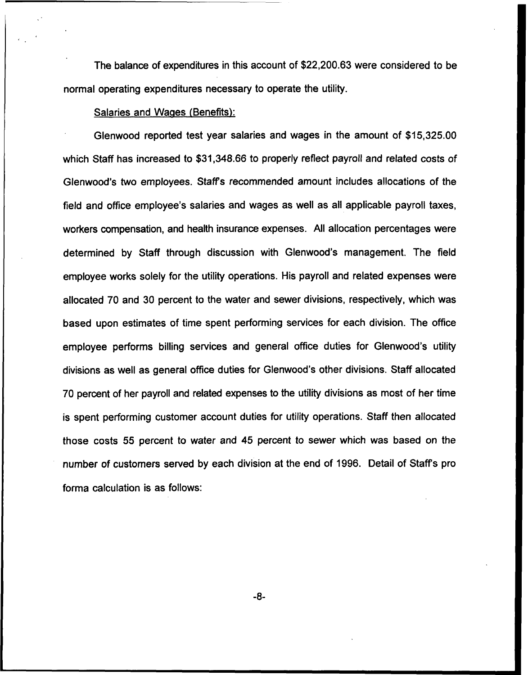The balance of expenditures in this account of \$22,200.63 were considered to be normal operating expenditures necessary to operate the utility.

## Salaries and Wages (Benefits):

Glenwood reported test year salaries and wages in the amount of \$15,325.00 which Staff has increased to \$31,348.66 to properly reflect payroll and related costs of Glenwood's two employees. Staff's recommended amount includes allocations of the field and office employee's salaries and wages as well as all applicable payroll taxes, workers compensation, and health insurance expenses. All allocation percentages were determined by Staff through discussion with Glenwood's management. The field employee works solely for the utility operations. His payroll and related expenses were allocated 70 and 30 percent to the water and sewer divisions, respectively, which was based upon estimates of time spent performing services for each division. The office employee performs billing services and general office duties for Glenwood's utility divisions as well as general office duties for Glenwood's other divisions. Staff allocated 70 percent of her payroll and related expenses to the utility divisions as most of her time is spent performing customer account duties for utility operations. Staff then allocated those costs 55 percent to water and 45 percent to sewer which was based on the number of customers served by each division at the end of 1996. Detail of Staffs pro forma calculation is as follows: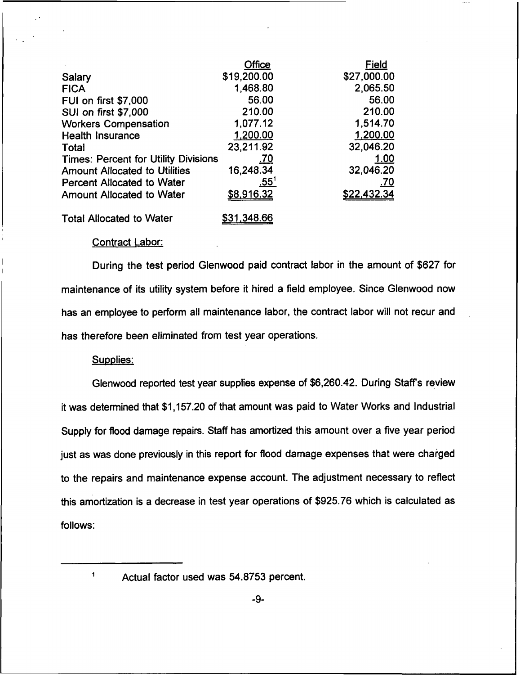|                                             | Office      | <u>Field</u>       |
|---------------------------------------------|-------------|--------------------|
| Salary                                      | \$19,200.00 | \$27,000.00        |
| <b>FICA</b>                                 | 1,468.80    | 2,065.50           |
| <b>FUI on first \$7,000</b>                 | 56.00       | 56.00              |
| <b>SUI on first \$7,000</b>                 | 210.00      | 210.00             |
| <b>Workers Compensation</b>                 | 1,077.12    | 1,514.70           |
| <b>Health Insurance</b>                     | 1,200.00    | 1,200.00           |
| Total                                       | 23,211.92   | 32,046.20          |
| <b>Times: Percent for Utility Divisions</b> | <u>.70</u>  | 1.00               |
| <b>Amount Allocated to Utilities</b>        | 16,248.34   | 32,046.20          |
| <b>Percent Allocated to Water</b>           | <u>.55'</u> | <u>.70</u>         |
| <b>Amount Allocated to Water</b>            | \$8,916.32  | <u>\$22,432.34</u> |
| <b>Total Allocated to Water</b>             | \$31,348.66 |                    |

#### Contract Labor:

During the test period Glenwood paid contract labor in the amount of \$627 for maintenance of its utility system before it hired a field employee. Since Glenwood now has an employee to perform all maintenance labor, the contract labor will not recur and has therefore been eliminated from test year operations.

#### Supplies:

Glenwood reported test year supplies expense of \$6,260.42. During Staff's review it was determined that \$1,157.20 of that amount was paid to Water Works and Industrial Supply for flood damage repairs. Staff has amortized this amount over a five year period just as was done previously in this report for flood damage expenses that were charged to the repairs and maintenance expense account. The adjustment necessary to reflect this amortization is a decrease in test year operations of \$925.76 which is calculated as follows:

 $\overline{\mathbf{1}}$ 

Actual factor used was 54.8?53 percent.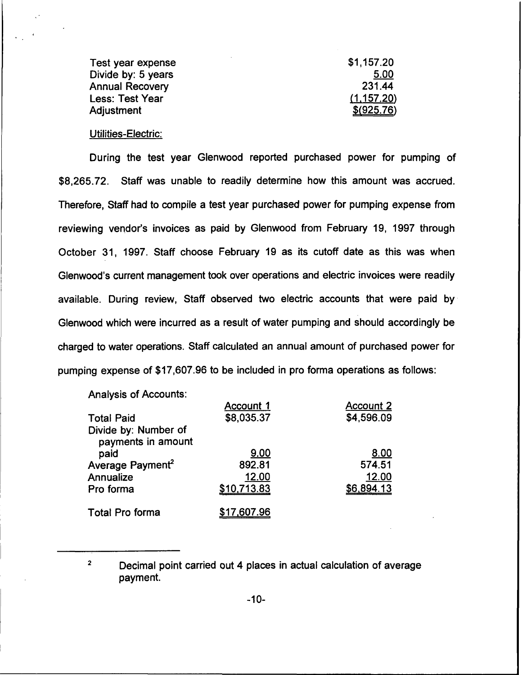| Test year expense  | \$1,157.20  |
|--------------------|-------------|
| Divide by: 5 years | 5.00        |
| Annual Recovery    | 231.44      |
| Less: Test Year    | (1, 157.20) |
| Adjustment         | \$ (925.76) |

### Utilities-Electric:

During the test year Glenwood reported purchased power for pumping of \$8,265.72. Staff was unable to readily determine how this amount was accrued. Therefore, Staff had to compile a test year purchased power for pumping expense from reviewing vendor's invoices as paid by Glenwood from February 19, 1997 through October 31, 1997. Staff choose February 19 as its cutoff date as this was when Glenwood's current management took over operations and electric invoices were readily available. During review, Staff observed two electric accounts that were paid by Glenwood which were incurred as a result of water pumping and should accordingly be charged to water operations. Staff calculated an annual amount of purchased power for pumping expense of \$17,607.96 to be included in pro forma operations as follows:

Analysis of Accounts:

|                                            | Account 1   | <b>Account 2</b> |
|--------------------------------------------|-------------|------------------|
| <b>Total Paid</b>                          | \$8,035.37  | \$4,596.09       |
| Divide by: Number of<br>payments in amount |             |                  |
| paid                                       | 9.00        | 8.00             |
| Average Payment <sup>2</sup>               | 892.81      | 574.51           |
| Annualize                                  | 12.00       | 12.00            |
| Pro forma                                  | \$10,713.83 | \$6,894.13       |
| Total Pro forma                            | \$17,607.96 |                  |

 $\overline{2}$ Decimal point carried out 4 places in actual calculation of average payment.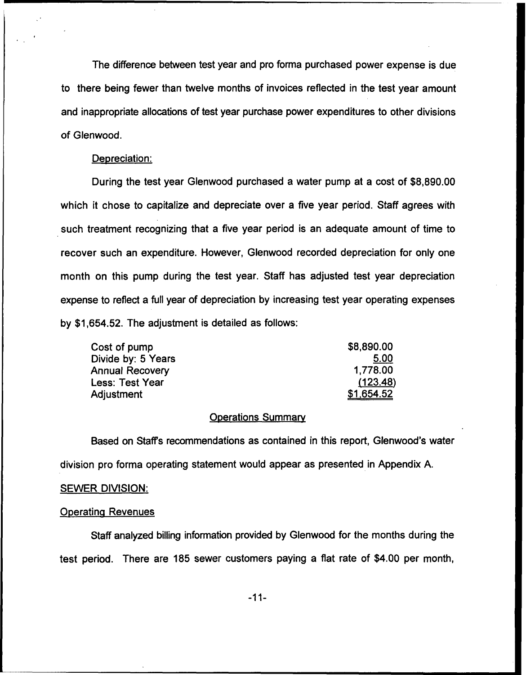The difference between test year and pro forma purchased power expense is due to there being fewer than twelve months of invoices reflected in the test year amount and inappropriate allocations of test year purchase power expenditures to other divisions of Glenwood.

#### Depreciation:

During the test year Glenwood purchased a water pump at a cost of \$8,890.00 which it chose to capitalize and depreciate over a five year period. Staff agrees with such treatment recognizing that a five year period is an adequate amount of time to recover such an expenditure. However, Glenwood recorded depreciation for only one month on this pump during the test year. Staff has adjusted test year depreciation expense to reflect a full year of depreciation by increasing test year operating expenses by \$1,654.52. The adjustment is detailed as follows:

| Cost of pump       | \$8,890.00 |
|--------------------|------------|
| Divide by: 5 Years | 5.00       |
| Annual Recovery    | 1,778.00   |
| Less: Test Year    | (123.48)   |
| <b>Adjustment</b>  | \$1,654.52 |

## **Operations Summary**

Based on Staff's recommendations as contained in this report, Glenwood's water division pro forma operating statement would appear as presented in Appendix A.

#### SEWER DIVISION:

### **Operating Revenues**

Staff analyzed billing information provided by Glenwood for the months during the test period. There are 185 sewer customers paying a flat rate of \$4.00 per month,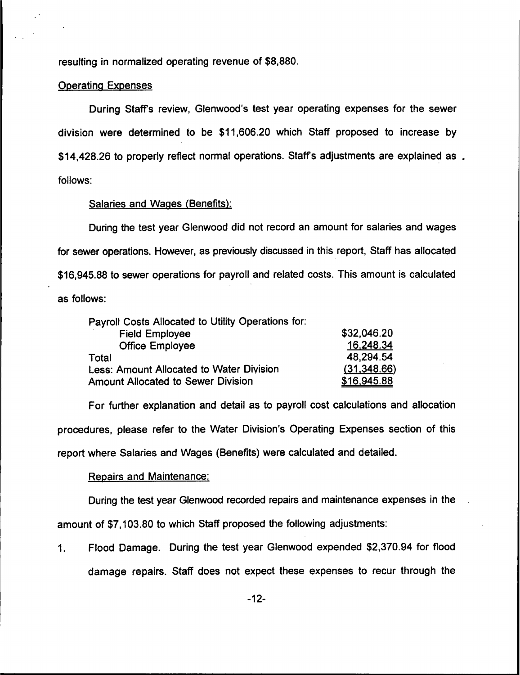resulting in normalized operating revenue of \$8,880.

### **Operating Expenses**

During Staff's review, Glenwood's test year operating expenses for the sewer division were determined to be \$11,606.20 which Staff proposed to increase by \$14,428.26 to properly reflect normal operations. Staff's adjustments are explained as. follows:

### Salaries and Wages (Benefits):

During the test year Glenwood did not record an amount for salaries and wages for sewer operations. However, as previously discussed in this report, Staff has allocated \$16,945.88to sewer operations for payroll and related costs. This amount is calculated as follows:

| Payroll Costs Allocated to Utility Operations for: |              |
|----------------------------------------------------|--------------|
| <b>Field Employee</b>                              | \$32,046.20  |
| <b>Office Employee</b>                             | 16,248.34    |
| Total                                              | 48,294.54    |
| Less: Amount Allocated to Water Division           | (31, 348.66) |
| <b>Amount Allocated to Sewer Division</b>          | \$16,945.88  |

For further explanation and detail as to payroll cost calculations and allocation procedures, please refer to the Water Division's Operating Expenses section of this report where Salaries and Wages (Benefits) were calculated and detailed.

### Repairs and Maintenance:

During the test year Glenwood recorded repairs and maintenance expenses in the

amount of \$7,103.80 to which Staff proposed the following adjustments:

Flood Damage. During the test year Glenwood expended \$2,370.94 for flood  $\mathbf{1}$ . damage repairs. Staff does not expect these expenses to recur through the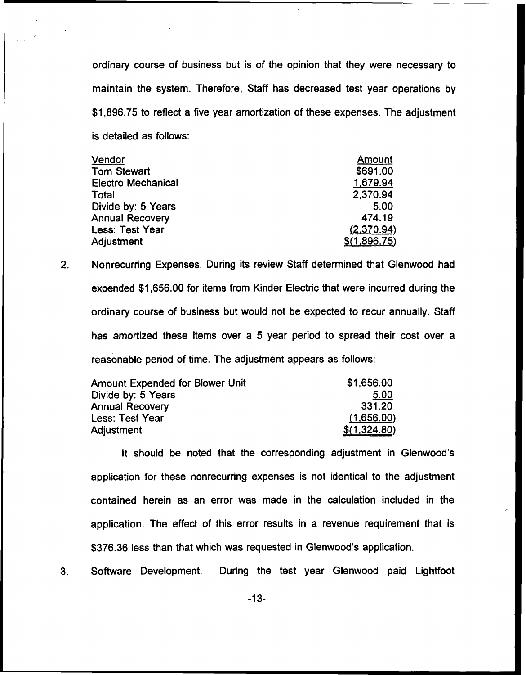ordinary course of business but is of the opinion that they were necessary to maintain the system. Therefore, Staff has decreased test year operations by \$1,896.75 to reflect a five year amortization of these expenses. The adjustment is detailed as follows:

| Vendor                    | Amount       |
|---------------------------|--------------|
| <b>Tom Stewart</b>        | \$691.00     |
| <b>Electro Mechanical</b> | 1,679.94     |
| Total                     | 2,370.94     |
| Divide by: 5 Years        | 5.00         |
| <b>Annual Recovery</b>    | 474.19       |
| Less: Test Year           | (2,370.94)   |
| Adjustment                | \$(1,896.75) |

 $2.$ Nonrecurring Expenses. During its review Staff determined that Glenwood had expended \$1,656.00 for items from Kinder Electric that were incurred during the ordinary course of business but would not be expected to recur annually. Staff has amortized these items over a 5 year period to spread their cost over a reasonable period of time. The adjustment appears as follows:

| <b>Amount Expended for Blower Unit</b> | \$1,656.00   |
|----------------------------------------|--------------|
| Divide by: 5 Years                     | 5.00         |
| <b>Annual Recovery</b>                 | 331.20       |
| Less: Test Year                        | (1,656.00)   |
| Adjustment                             | \$(1,324.80) |

It should be noted that the corresponding adjustment in Glenwood's application for these nonrecurring expenses is not identical to the adjustment contained herein as an error was made in the calculation included in the application. The effect of this error results in a revenue requirement that is \$376.36 less than that which was requested in Glenwood's application.

 $3.$ Software Development. During the test year Glenwood paid Lightfoot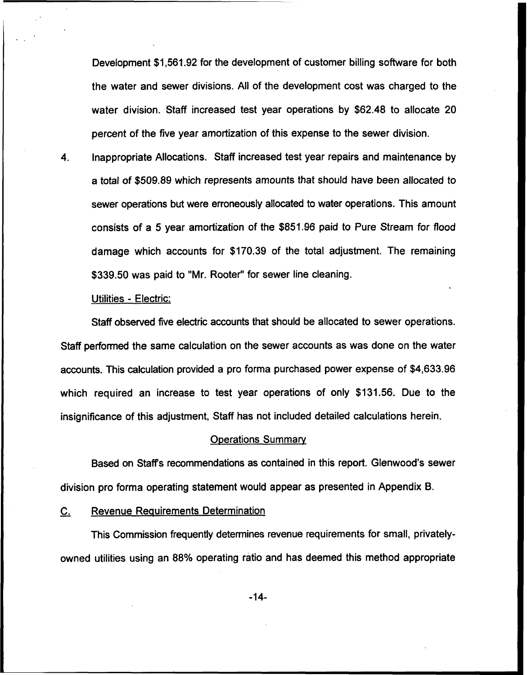Development \$1,561.92 for the development of customer billing software for both the water and sewer divisions. All of the development cost was charged to the water division. Staff increased test year operations by \$62.48 to allocate 20 percent of the five year amortization of this expense to the sewer division.

 $\boldsymbol{4}$ . Inappropriate Allocations. Staff increased test year repairs and maintenance by a total of \$509.89 which represents amounts that should have been allocated to sewer operations but were erroneously allocated to water operations. This amount consists of a 5 year amortization of the \$851.96 paid to Pure Stream for flood damage which accounts for \$170.39 of the total adjustment. The remaining \$339.50 was paid to "Mr. Rooter" for sewer line cleaning.

### Utilities - Electric:

Staff observed five electric accounts that should be allocated to sewer operations. Staff performed the same calculation on the sewer accounts as was done on the water accounts. This calculation provided a pro forma purchased power expense of \$4,633.96 which required an increase to test year operations of only \$131.56. Due to the insignificance of this adjustment, Staff has not included detailed calculations herein.

#### Operations Summarv

Based on Staffs recommendations as contained in this report. Glenwood's sewer division pro forma operating statement would appear as presented in Appendix B.

### C. Revenue Reauirements Determination

This Commission frequently determines revenue requirements for small, privatelyowned utilities using an 88% operating ratio and has deemed this method appropriate

-14-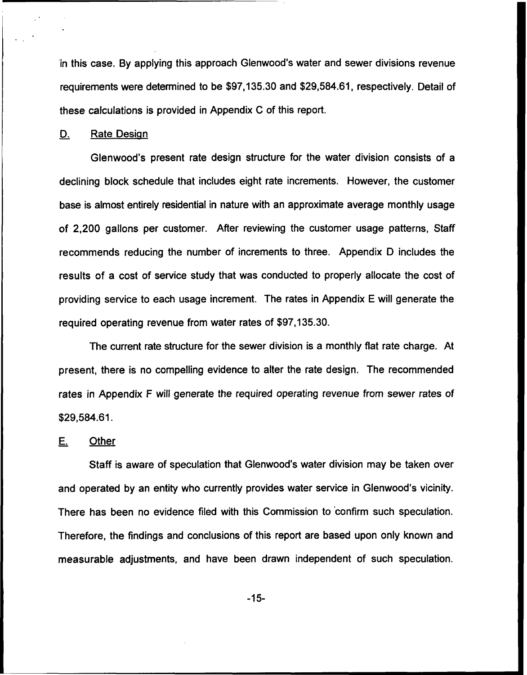in this case. By applying this approach Glenwood's water and sewer divisions revenue requirements were determined to be \$97,135.30and \$29,584.61, respectively. Detail of these calculations is provided in Appendix C of this report.

#### D. Rate Design

Glenwood's present rate design structure for the water division consists of a declining block schedule that includes eight rate increments. However, the customer base is almost entirely residential in nature with an approximate average monthly usage of 2,200 gallons per customer. After reviewing the customer usage patterns, Staff recommends reducing the number of increments to three. Appendix D includes the results of a cost of service study that was conducted to properly allocate the cost of providing service to each usage increment. The rates in Appendix E will generate the required operating revenue from water rates of \$97,135.30.

The current rate structure for the sewer division is a monthly flat rate charge. At present, there is no compelling evidence to alter the rate design. The recommended rates in Appendix F will generate the required operating revenue from sewer rates of \$29,584.61.

# E. Other

Staff is aware of speculation that Glenwood's water division may be taken over and operated by an entity who currently provides water service in Glenwood's vicinity. There has been no evidence filed with this Commission to confirm such speculation. Therefore, the findings and conclusions of this report are based upon only known and measurable adjustments, and have been drawn independent of such speculation.

-15-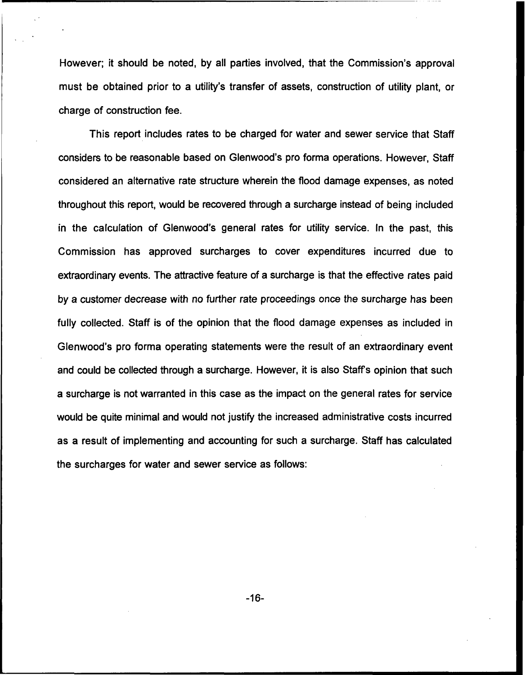However; it should be noted, by all parties involved, that the Commission's approval must be obtained prior to a utility's transfer of assets, construction of utility plant, or charge of construction fee.

This report includes rates to be charged for water and sewer service that Staff considers to be reasonable based on Glenwood's pro forma operations. However, Staff considered an alternative rate structure wherein the flood damage expenses, as noted throughout this report, would be recovered through a surcharge instead of being included in the calculation of Glenwood's general rates for utility service. In the past, this Commission has approved surcharges to cover expenditures incurred due to extraordinary events. The attractive feature of a surcharge is that the effective rates paid by a customer decrease with no further rate proceedings once the surcharge has been fully collected. Staff is of the opinion that the flood damage expenses as included in Glenwood's pro forma operating statements were the result of an extraordinary event and could be collected through a surcharge. However, it is also Staffs opinion that such a surcharge is not warranted in this case as the impact on the general rates for service would be quite minimal and would not justify the increased administrative costs incurred as a result of implementing and accounting for such a surcharge. Staff has calculated the surcharges for water and sewer service as follows:

-16-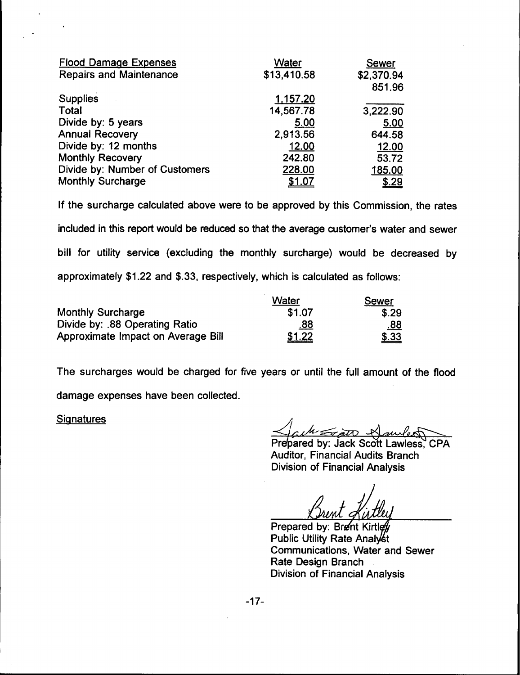| Water       | Sewer      |
|-------------|------------|
| \$13,410.58 | \$2,370.94 |
|             | 851.96     |
| 1,157.20    |            |
| 14,567.78   | 3,222.90   |
| 5.00        | 5.00       |
| 2,913.56    | 644.58     |
| 12.00       | 12.00      |
| 242.80      | 53.72      |
| 228.00      | 185.00     |
| \$1.07      | \$.29      |
|             |            |

If the surcharge calculated above were to be approved by this Commission, the rates included in this report would be reduced so that the average customer's water and sewer bill for utility service (excluding the monthly surcharge) would be decreased by approximately \$1.22 and \$.33, respectively, which is calculated as follows:

|                                    | Water      | Sewer        |
|------------------------------------|------------|--------------|
| <b>Monthly Surcharge</b>           | \$1.07     | \$.29        |
| Divide by: .88 Operating Ratio     | <u>88.</u> | <u>.88</u>   |
| Approximate Impact on Average Bill | \$1.22     | <u>\$.33</u> |

The surcharges would be charged for five years or until the full amount of the flood

damage expenses have been collected.

**Signatures** 

 $M\leq_{\mathcal{T}}$ a $\mathcal{U}\cap\mathcal{V}$ 

Prepared by: Jack Scott Lawless, CPA Auditor, Financial Audits Branch Division of Financial Analysis

Prepared by: Brent Kirtley Utility Rate Analy Communications, Water and Sewer Rate Design Branch Division of Financial Analysis

 $-17-$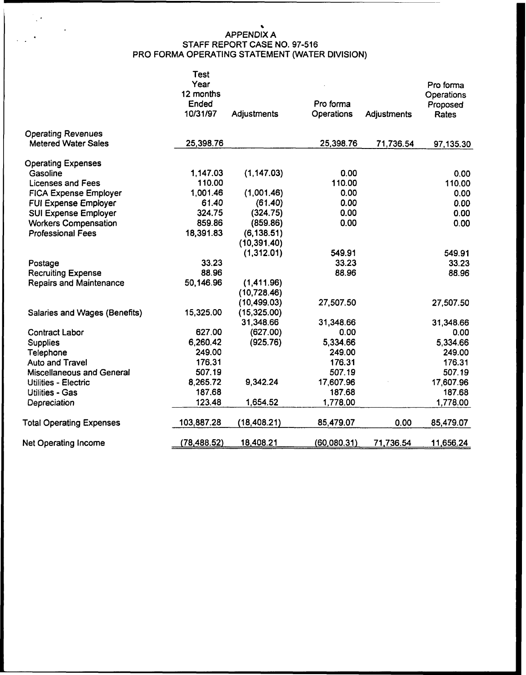# APPENDIX A STAFF REPORT CASE NO. 97-516 PRO FORMA OPERATING STATEMENT (WATER DIVISION)

 $\frac{1}{\sqrt{2}}\left( \frac{1}{2}\right) ^{2}$ 

 $\sim$  .

|                                                         | Test<br>Year<br>12 months<br>Ended<br>10/31/97 | Adjustments  | Pro forma<br>Operations | Adjustments | Pro forma<br>Operations<br>Proposed<br>Rates |
|---------------------------------------------------------|------------------------------------------------|--------------|-------------------------|-------------|----------------------------------------------|
| <b>Operating Revenues</b><br><b>Metered Water Sales</b> | 25,398.76                                      |              | 25,398.76               |             |                                              |
|                                                         |                                                |              |                         | 71,736.54   | 97,135.30                                    |
| <b>Operating Expenses</b>                               |                                                |              |                         |             |                                              |
| Gasoline                                                | 1,147.03                                       | (1, 147.03)  | 0.00                    |             | 0.00                                         |
| <b>Licenses and Fees</b>                                | 110.00                                         |              | 110.00                  |             | 110.00                                       |
| <b>FICA Expense Employer</b>                            | 1,001.46                                       | (1,001.46)   | 0.00                    |             | 0.00                                         |
| <b>FUI Expense Employer</b>                             | 61.40                                          | (61.40)      | 0.00                    |             | 0.00                                         |
| <b>SUI Expense Employer</b>                             | 324.75                                         | (324.75)     | 0.00                    |             | 0.00                                         |
| <b>Workers Compensation</b>                             | 859.86                                         | (859.86)     | 0.00                    |             | 0.00                                         |
| <b>Professional Fees</b>                                | 18,391.83                                      | (6, 138.51)  |                         |             |                                              |
|                                                         |                                                | (10, 391.40) |                         |             |                                              |
|                                                         |                                                | (1,312.01)   | 549.91                  |             | 549.91                                       |
| Postage                                                 | 33.23                                          |              | 33.23                   |             | 33.23                                        |
| <b>Recruiting Expense</b>                               | 88.96                                          |              | 88.96                   |             | 88.96                                        |
| <b>Repairs and Maintenance</b>                          | 50,146.96                                      | (1,411.96)   |                         |             |                                              |
|                                                         |                                                | (10, 728.46) |                         |             |                                              |
|                                                         |                                                | (10, 499.03) | 27,507.50               |             | 27,507.50                                    |
| <b>Salaries and Wages (Benefits)</b>                    | 15,325.00                                      | (15,325.00)  |                         |             |                                              |
|                                                         |                                                | 31,348.66    | 31,348.66               |             | 31,348.66                                    |
| <b>Contract Labor</b>                                   | 627.00                                         | (627.00)     | 0.00                    |             | 0.00                                         |
| <b>Supplies</b>                                         | 6,260.42                                       | (925.76)     | 5,334.66                |             | 5,334.66                                     |
| Telephone                                               | 249.00                                         |              | 249.00                  |             | 249.00                                       |
| Auto and Travel                                         | 176.31                                         |              | 176.31                  |             | 176.31                                       |
| Miscellaneous and General                               | 507.19                                         |              | 507.19                  |             | 507.19                                       |
| Utilities - Electric                                    | 8,265.72                                       | 9,342.24     | 17,607.96               |             | 17,607.96                                    |
| Utilities - Gas                                         | 187.68                                         |              | 187.68                  |             | 187.68                                       |
| Depreciation                                            | 123.48                                         | 1,654.52     | 1,778.00                |             | 1,778.00                                     |
| <b>Total Operating Expenses</b>                         | 103,887.28                                     | (18, 408.21) | 85,479.07               | 0.00        | 85,479.07                                    |
| <b>Net Operating Income</b>                             | (78,488.52)                                    | 18,408.21    | (60,080.31)             | 71,736.54   | 11,656.24                                    |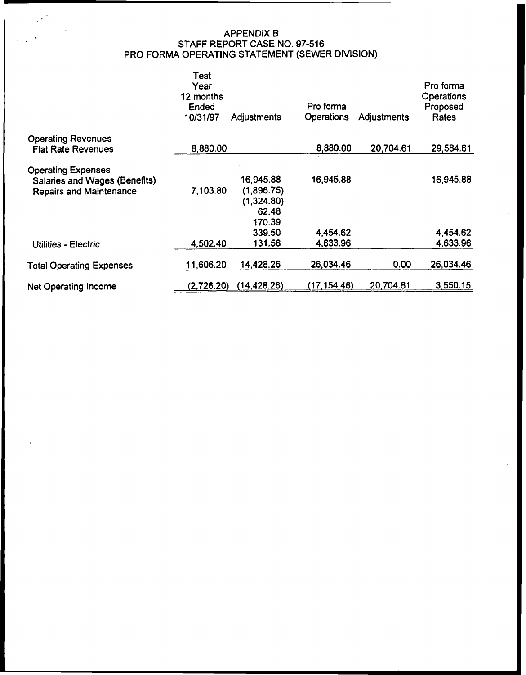# APPENDIX B STAFF REPORT CASE NO. 97-516 PRO FORMA OPERATING STATEMENT (SEWER DIVISION)

|                                                                                              | <b>Test</b><br>Year<br>12 months<br>Ended<br>10/31/97 | <b>Adjustments</b>                                       | Pro forma<br>Operations | Adjustments | Pro forma<br>Operations<br>Proposed<br>Rates |
|----------------------------------------------------------------------------------------------|-------------------------------------------------------|----------------------------------------------------------|-------------------------|-------------|----------------------------------------------|
| <b>Operating Revenues</b>                                                                    | 8,880.00                                              |                                                          | 8,880.00                | 20,704.61   | 29,584.61                                    |
| <b>Flat Rate Revenues</b>                                                                    |                                                       |                                                          |                         |             |                                              |
| <b>Operating Expenses</b><br>Salaries and Wages (Benefits)<br><b>Repairs and Maintenance</b> | 7,103.80                                              | 16,945.88<br>(1,896.75)<br>(1,324.80)<br>62.48<br>170.39 | 16,945.88               |             | 16,945.88                                    |
|                                                                                              |                                                       | 339.50                                                   | 4,454.62                |             | 4,454.62                                     |
| Utilities - Electric                                                                         | 4,502.40                                              | 131.56                                                   | 4,633.96                |             | 4,633.96                                     |
| <b>Total Operating Expenses</b>                                                              | 11,606.20                                             | 14,428.26                                                | 26,034.46               | 0.00        | 26,034.46                                    |
| Net Operating Income                                                                         | (2,726.20)                                            | (14, 428.26)                                             | (17, 154.46)            | 20,704.61   | 3,550.15                                     |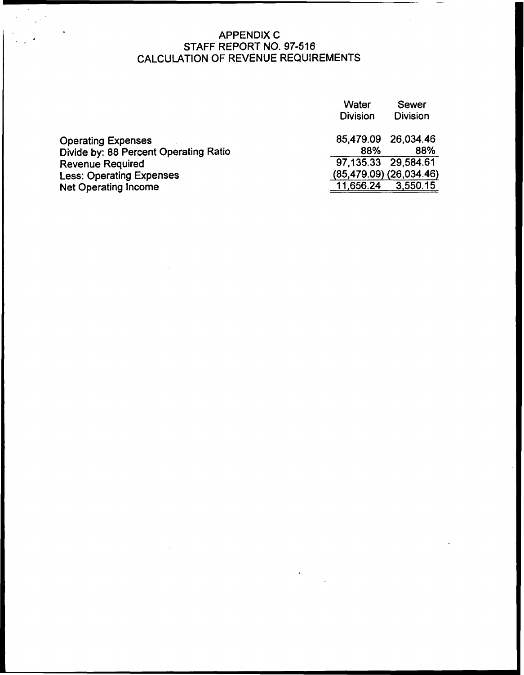# APPENDIX C STAFF REPORT NO. 97-516 CALCULATION OF REVENUE REQUIREMENTS

| Water<br><b>Division</b> | Sewer<br><b>Division</b>    |
|--------------------------|-----------------------------|
| 85,479.09 26,034.46      |                             |
| 88%                      | 88%                         |
| 97,135.33 29,584.61      |                             |
|                          | $(85,479.09)$ $(26,034.46)$ |
| 11,656.24                | 3,550.15                    |
|                          |                             |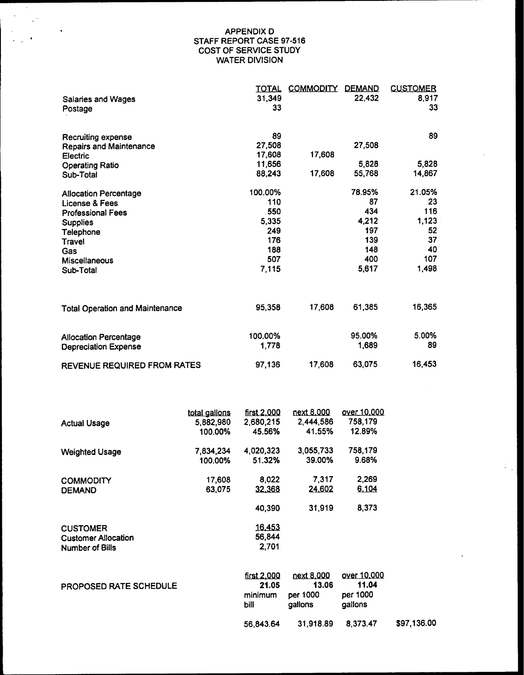#### APPENDIX D STAFF REPORT CASE 97-516 COST OF SERVICE STUDY WATER DIVISION

 $\mathcal{L}$ 

| <b>Salaries and Wages</b><br>Postage   | <u>TOTAL</u><br>31,349<br>33 | <u>COMMODITY</u> | <b>DEMAND</b><br>22,432 | <b>CUSTOMER</b><br>8,917<br>33 |
|----------------------------------------|------------------------------|------------------|-------------------------|--------------------------------|
| <b>Recruiting expense</b>              | 89                           |                  |                         | 89                             |
| <b>Repairs and Maintenance</b>         | 27,508                       |                  | 27,508                  |                                |
| Electric                               | 17,608                       | 17,608           |                         |                                |
| <b>Operating Ratio</b>                 | 11,656                       |                  | 5,828                   | 5,828                          |
| Sub-Total                              | 88,243                       | 17,608           | 55,768                  | 14,867                         |
| <b>Allocation Percentage</b>           | 100.00%                      |                  | 78.95%                  | 21.05%                         |
| License & Fees                         | 110                          |                  | 87                      | 23                             |
| <b>Professional Fees</b>               | 550                          |                  | 434                     | 116                            |
| <b>Supplies</b>                        | 5,335                        |                  | 4,212                   | 1,123                          |
| Telephone                              | 249                          |                  | 197                     | 52                             |
| <b>Travel</b>                          | 176                          |                  | 139                     | 37                             |
| Gas                                    | 188                          |                  | 148                     | 40                             |
| Miscellaneous                          | 507                          |                  | 400                     | 107                            |
| Sub-Total                              | 7,115                        |                  | 5,617                   | 1,498                          |
| <b>Total Operation and Maintenance</b> | 95,358                       | 17,608           | 61,385                  | 16,365                         |
| <b>Allocation Percentage</b>           | 100.00%                      |                  | 95.00%                  | 5.00%                          |
| <b>Depreciation Expense</b>            | 1,778                        |                  | 1,689                   | 89                             |
| REVENUE REQUIRED FROM RATES            | 97,136                       | 17,608           | 63,075                  | 16,453                         |

÷.

 $\sim$ 

| <b>Actual Usage</b>        | total gallons<br>5,882,980 | first 2,000<br>2,680,215 | next 8,000<br>2,444,586 | over 10,000<br>758.179 |
|----------------------------|----------------------------|--------------------------|-------------------------|------------------------|
|                            | 100.00%                    | 45.56%                   | 41.55%                  | 12.89%                 |
| <b>Weighted Usage</b>      | 7,834,234                  | 4,020,323                | 3,055,733               | 758,179                |
|                            | 100.00%                    | 51.32%                   | 39.00%                  | 9.68%                  |
| <b>COMMODITY</b>           | 17,608                     | 8,022                    | 7.317                   | 2,269                  |
| <b>DEMAND</b>              | 63,075                     | 32,368                   | 24.602                  | 6,104                  |
|                            |                            | 40,390                   | 31.919                  | 8,373                  |
| <b>CUSTOMER</b>            |                            | 16.453                   |                         |                        |
| <b>Customer Allocation</b> |                            | 56,844                   |                         |                        |
| <b>Number of Bills</b>     |                            | 2,701                    |                         |                        |

| PROPOSED RATE SCHEDULE | first 2,000<br>21.05 | next 8,000<br>13.06 | over 10.000<br>11.04 |             |
|------------------------|----------------------|---------------------|----------------------|-------------|
|                        | minimum<br>bill      | per 1000<br>qallons | per 1000<br>gallons  |             |
|                        | 56.843.64            | 31,918.89           | 8,373.47             | \$97,136.00 |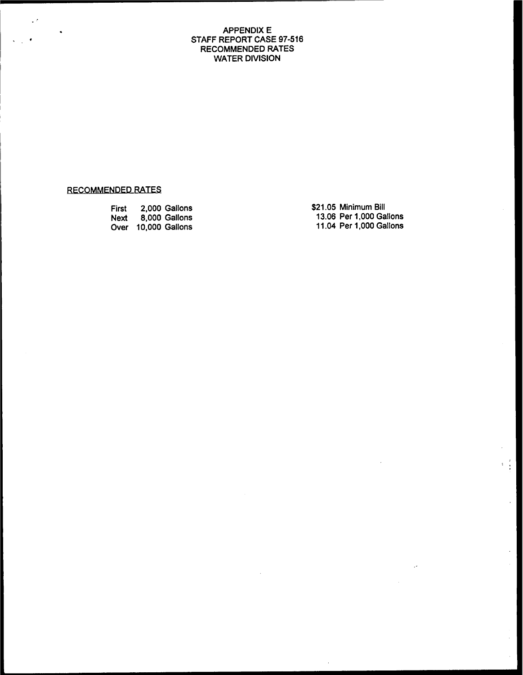#### APPENDIX E STAFF REPORT CASE 97-516 RECOMMENDED RATES WATER DIVISION

# RECOMMENDED RATES

 $\sim$ 

 $\ddot{\phantom{1}}$ 

| First | 2.000 Gallons       | \$21.05 Minimum Bill    |
|-------|---------------------|-------------------------|
| Next  | 8.000 Gallons       | 13.06 Per 1.000 Gallons |
|       | Over 10,000 Gallons | 11.04 Per 1,000 Gallons |

 $\frac{1}{4}$ 

 $\sim$